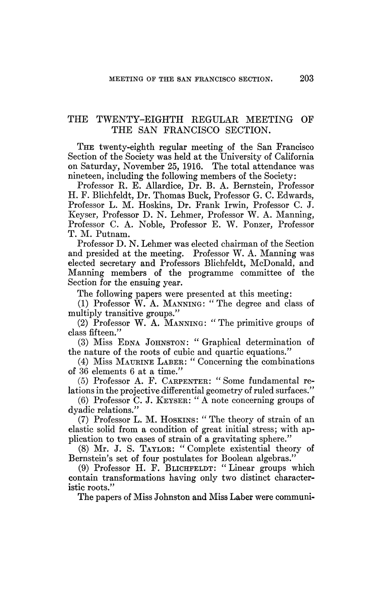## THE TWENTY-EIGHTH REGULAR MEETING OF THE SAN FRANCISCO SECTION.

THE twenty-eighth regular meeting of the San Francisco Section of the Society was held at the University of California on Saturday, November 25, 1916. The total attendance was nineteen, including the following members of the Society:

Professor R. E. Allardice, Dr. B. A. Bernstein, Professor H. F. Blichfeldt, Dr. Thomas Buck, Professor G. C. Edwards, Professor L. M. Hoskins, Dr. Frank Irwin, Professor C. J. Keyser, Professor D. N. Lehmer, Professor W. A. Manning, Professor C. A. Noble, Professor E. W. Ponzer, Professor T. M. Putnam.

Professor D. N. Lehmer was elected chairman of the Section and presided at the meeting. Professor W. A. Manning was elected secretary and Professors Blichfeldt, McDonald, and Manning members of the programme committee of the Section for the ensuing year.

The following papers were presented at this meeting:

(1) Professor  $W$ . A. MANNING: "The degree and class of multiply transitive groups."

(2) Professor W. A. MANNING: " The primitive groups of class fifteen."

(3) Miss EDNA JOHNSTON: " Graphical determination of the nature of the roots of cubic and quartic equations."

(4) Miss MAURINE LABER: " Concerning the combinations of 36 elements 6 at a time."

(5) Professor A. F. CARPENTER: " Some fundamental relations in the projective differential geometry of ruled surfaces."

(6) Professor C. J. KEYSER: " A note concerning groups of dyadic relations."

(7) Professor L. M. HOSKINS: " The theory of strain of an elastic solid from a condition of great initial stress; with application to two cases of strain of a gravitating sphere."

(8) Mr. J. S. TAYLOR: " Complete existential theory of Bernstein's set of four postulates for Boolean algebras."

(9) Professor H. P. BLICHFELDT: "Linear groups which contain transformations having only two distinct characteristic roots."

The papers of Miss Johnston and Miss Laber were communi-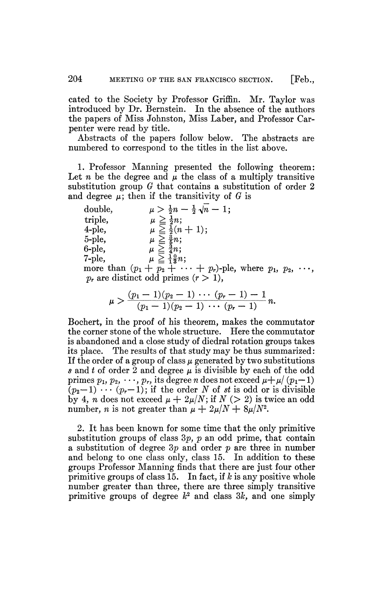cated to the Society by Professor Griffin. Mr. Taylor was introduced by Dr. Bernstein. In the absence of the authors the papers of Miss Johnston, Miss Laber, and Professor Carpenter were read by title.

Abstracts of the papers follow below. The abstracts are numbered to correspond to the titles in the list above.

1. Professor Manning presented the following theorem: Let *n* be the degree and  $\mu$  the class of a multiply transitive substitution group *G* that contains a substitution of order 2 and degree  $\mu$ ; then if the transitivity of G is

| double,   | $\mu > \frac{1}{2}n - \frac{1}{2}\sqrt{n} - 1;$                         |
|-----------|-------------------------------------------------------------------------|
| triple,   | $\mu \geq \frac{1}{2}n;$                                                |
| $4$ -ple, | $\mu \geq \frac{1}{2}(n+1);$                                            |
| 5-ple,    | $\mu \geq \frac{3}{5}n;$<br>$\mu \geq \frac{3}{4}n;$                    |
| 6-ple,    |                                                                         |
| 7-ple,    | $\mu \geq \frac{1}{3} \frac{0}{3} n$ ;                                  |
|           | more than $(p_1 + p_2 + \cdots + p_r)$ -ple, where $p_1, p_2, \cdots$ , |
|           | $p_r$ are distinct odd primes $(r > 1)$ ,                               |

$$
\mu > \frac{(p_1-1)(p_2-1)\cdots (p_r-1)-1}{(p_1-1)(p_2-1)\cdots (p_r-1)} n.
$$

Bochert, in the proof of his theorem, makes the commutator the corner stone of the whole structure. Here the commutator is abandoned and a close study of diedral rotation groups takes its place. The results of that study may be thus summarized: If the order of a group of class  $\mu$  generated by two substitutions  $s$  and  $t$  of order 2 and degree  $\mu$  is divisible by each of the odd  $\text{primes } p_1, p_2, \cdots, p_r \text{, its degree } n \text{ does not exceed } \mu + \mu/(p_1-1)$  $(p_2-1)$   $\cdots$   $(p_r-1)$ ; if the order *N* of *st* is odd or is divisible by 4, *n* does not exceed  $\mu + 2\mu/N$ ; if  $N > 2$  is twice an odd number, *n* is not greater than  $\mu + 2\mu/N + 8\mu/N^2$ .

2. It has been known for some time that the only primitive substitution groups of class *3p, p* an odd prime, that contain a substitution of degree 3p and order *p* are three in number and belong to one class only, class 15. In addition to these groups Professor Manning finds that there are just four other primitive groups of class 15. In fact, if *k* is any positive whole number greater than three, there are three simply transitive primitive groups of degree *k<sup>2</sup>* and class *3k,* and one simply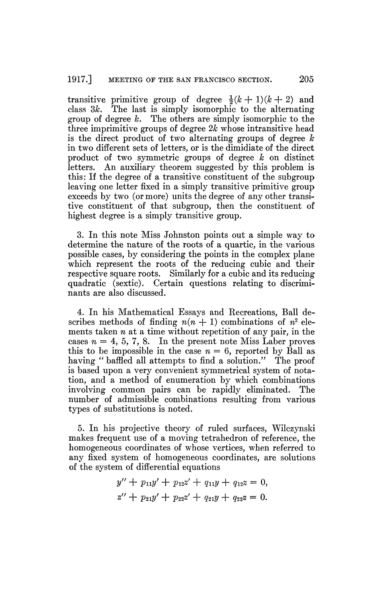transitive primitive group of degree  $\frac{1}{2}(k+1)(k+2)$  and class *3k.* The last is simply isomorphic to the alternating group of degree *k.* The others are simply isomorphic to the three imprimitive groups of degree *2k* whose intransitive head is the direct product of two alternating groups of degree *k*  in two different sets of letters, or is the dimidiate of the direct product of two symmetric groups of degree *k* on distinct letters. An auxiliary theorem suggested by this problem is this: If the degree of a transitive constituent of the subgroup leaving one letter fixed in a simply transitive primitive group exceeds by two (or more) units the degree of any other transitive constituent of that subgroup, then the constituent of highest degree is a simply transitive group.

3. In this note Miss Johnston points out a simple way to determine the nature of the roots of a quartic, in the various possible cases, by considering the points in the complex plane which represent the roots of the reducing cubic and their respective square roots. Similarly for a cubic and its reducing quadratic (sextic). Certain questions relating to discriminants are also discussed.

4. In his Mathematical Essays and Recreations, Ball describes methods of finding  $n(n+1)$  combinations of  $n^2$  elements taken *n* at a time without repetition of any pair, in the cases  $n = 4, 5, 7, 8$ . In the present note Miss Laber proves this to be impossible in the case  $n = 6$ , reported by Ball as having *"* baffied all attempts to find a solution." The proof is based upon a very convenient symmetrical system of notation, and a method of enumeration by which combinations involving common pairs can be rapidly eliminated. The number of admissible combinations resulting from various types of substitutions is noted.

5. In his projective theory of ruled surfaces, Wilczynski makes frequent use of a moving tetrahedron of reference, the homogeneous coordinates of whose vertices, when referred to any fixed system of homogeneous coordinates, are solutions of the system of differential equations

$$
y'' + p_{11}y' + p_{12}z' + q_{11}y + q_{12}z = 0,
$$
  
\n
$$
z'' + p_{21}y' + p_{22}z' + q_{21}y + q_{22}z = 0.
$$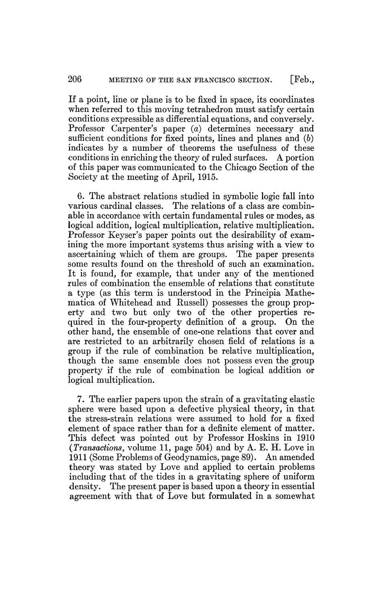If a point, line or plane is to be fixed in space, its coordinates when referred to this moving tetrahedron must satisfy certain conditions expressible as differential equations, and conversely. Professor Carpenter's paper (a) determines necessary and sufficient conditions for fixed points, lines and planes and *(b)*  indicates by a number of theorems the usefulness of these conditions in enriching the theory of ruled surfaces. A portion of this paper was communicated to the Chicago Section of the Society at the meeting of April, 1915.

6. The abstract relations studied in symbolic logic fall into The relations of a class are combinable in accordance with certain fundamental rules or modes, as logical addition, logical multiplication, relative multiplication. Professor Keyser's paper points out the desirability of examining the more important systems thus arising with a view to ascertaining which of them are groups. The paper presents some results found on the threshold of such an examination. It is found, for example, that under any of the mentioned rules of combination the ensemble of relations that constitute a type (as this term is understood in the Principia Mathematica of Whitehead and Russell) possesses the group property and two but only two of the other properties required in the four-property definition of a group. On the other hand, the ensemble of one-one relations that cover and are restricted to an arbitrarily chosen field of relations is a group if the rule of combination be relative multiplication, though the same ensemble does not possess even the group property if the rule of combination be logical addition or logical multiplication.

7. The earlier papers upon the strain of a gravitating elastic sphere were based upon a defective physical theory, in that the stress-strain relations were assumed to hold for a fixed element of space rather than for a definite element of matter. This defect was pointed out by Professor Hoskins in 1910 *(Transactions,* volume 11, page 504) and by A. E. H. Love in 1911 (Some Problems of Geodynamics, page 89). An amended theory was stated by Love and applied to certain problems including that of the tides in a gravitating sphere of uniform density. The present paper is based upon a theory in essential agreement with that of Love but formulated in a somewhat